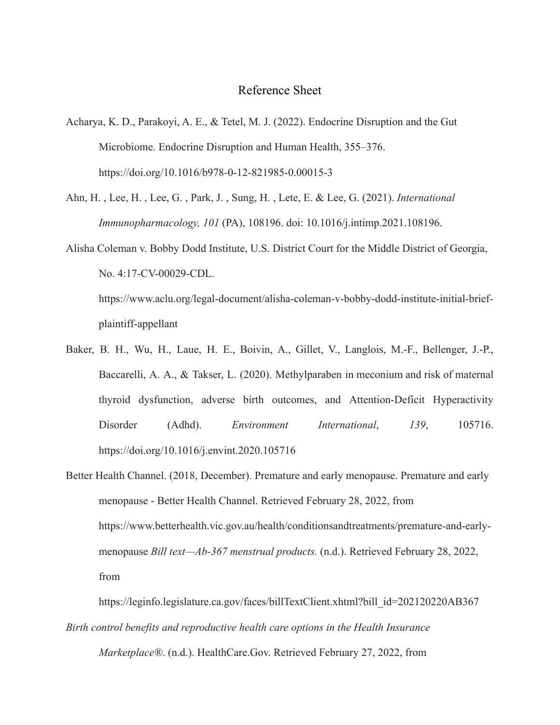## Reference Sheet

- Acharya, K. D., Parakoyi, A. E., & Tetel, M. J. (2022). Endocrine Disruption and the Gut Microbiome. Endocrine Disruption and Human Health, 355–376. <https://doi.org/10.1016/b978-0-12-821985-0.00015-3>
- Ahn, H. , Lee, H. , Lee, G. , Park, J. , Sung, H. , Lete, E. & Lee, G. (2021). *International Immunopharmacology, 101* (PA), 108196. doi: 10.1016/j.intimp.2021.108196.
- Alisha Coleman v. Bobby Dodd Institute, U.S. District Court for the Middle District of Georgia, No. 4:17-CV-00029-CDL.

[https://www.aclu.org/legal-document/alisha-coleman-v-bobby-dodd-institute-initial-brief](https://www.aclu.org/legal-document/alisha-coleman-v-bobby-dodd-institute-initial-brief-plaintiff-appellant)[plaintiff-appellant](https://www.aclu.org/legal-document/alisha-coleman-v-bobby-dodd-institute-initial-brief-plaintiff-appellant)

- Baker, B. H., Wu, H., Laue, H. E., Boivin, A., Gillet, V., Langlois, M.-F., Bellenger, J.-P., Baccarelli, A. A., & Takser, L. (2020). Methylparaben in meconium and risk of maternal thyroid dysfunction, adverse birth outcomes, and Attention-Deficit Hyperactivity Disorder (Adhd). *Environment International*, *139*, 105716. <https://doi.org/10.1016/j.envint.2020.105716>
- Better Health Channel. (2018, December). Premature and early menopause. Premature and early menopause - Better Health Channel. Retrieved February 28, 2022, from https://www.betterhealth.vic.gov.au/health/conditionsandtreatments/premature-and-earlymenopause *Bill text—Ab-367 menstrual products.* (n.d.). Retrieved February 28, 2022, from

[https://leginfo.legislature.ca.gov/faces/billTextClient.xhtml?bill\\_id=202120220AB367](https://leginfo.legislature.ca.gov/faces/billTextClient.xhtml?bill_id=202120220AB367) *Birth control benefits and reproductive health care options in the Health Insurance Marketplace®*. (n.d.). HealthCare.Gov. Retrieved February 27, 2022, from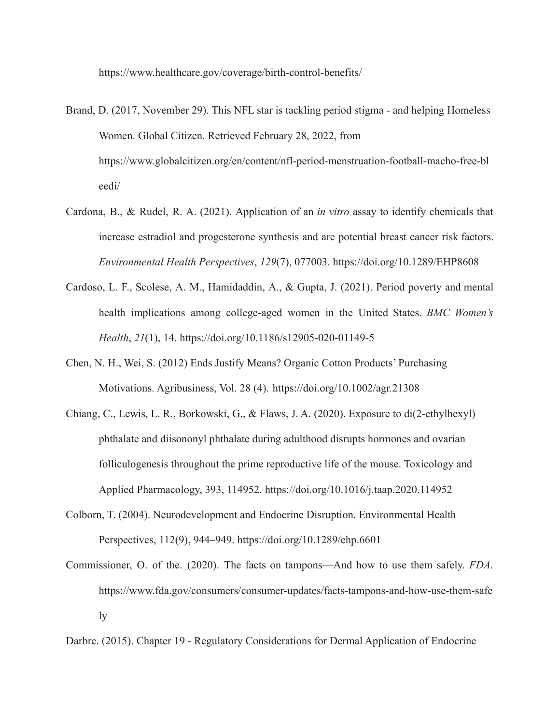<https://www.healthcare.gov/coverage/birth-control-benefits/>

- Brand, D. (2017, November 29). This NFL star is tackling period stigma and helping Homeless Women. Global Citizen. Retrieved February 28, 2022, from https://www.globalcitizen.org/en/content/nfl-period-menstruation-football-macho-free-bl eedi/
- Cardona, B., & Rudel, R. A. (2021). Application of an *in vitro* assay to identify chemicals that increase estradiol and progesterone synthesis and are potential breast cancer risk factors. *Environmental Health Perspectives*, *129*(7), 077003. https://doi.org/10.1289/EHP8608
- Cardoso, L. F., Scolese, A. M., Hamidaddin, A., & Gupta, J. (2021). Period poverty and mental health implications among college-aged women in the United States. *BMC Women's Health*, *21*(1), 14. https://doi.org/10.1186/s12905-020-01149-5
- Chen, N. H., Wei, S. (2012) Ends Justify Means? Organic Cotton Products' Purchasing Motivations. Agribusiness, Vol. 28 (4). <https://doi.org/10.1002/agr.21308>
- Chiang, C., Lewis, L. R., Borkowski, G., & Flaws, J. A. (2020). Exposure to di(2-ethylhexyl) phthalate and diisononyl phthalate during adulthood disrupts hormones and ovarian folliculogenesis throughout the prime reproductive life of the mouse. Toxicology and Applied Pharmacology, 393, 114952. https://doi.org/10.1016/j.taap.2020.114952
- Colborn, T. (2004). Neurodevelopment and Endocrine Disruption. Environmental Health Perspectives, 112(9), 944–949. https://doi.org/10.1289/ehp.6601
- Commissioner, O. of the. (2020). The facts on tampons—And how to use them safely. *FDA*. [https://www.fda.gov/consumers/consumer-updates/facts-tampons-and-how-use-them-safe](https://www.fda.gov/consumers/consumer-updates/facts-tampons-and-how-use-them-safely) [ly](https://www.fda.gov/consumers/consumer-updates/facts-tampons-and-how-use-them-safely)

Darbre. (2015). Chapter 19 - Regulatory Considerations for Dermal Application of Endocrine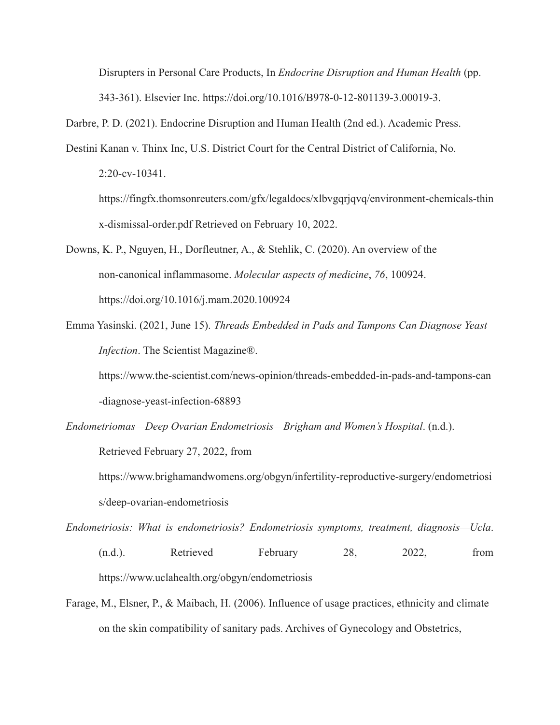Disrupters in Personal Care Products, In *Endocrine Disruption and Human Health* (pp. 343-361). Elsevier Inc. <https://doi.org/10.1016/B978-0-12-801139-3.00019-3>.

Darbre, P. D. (2021). Endocrine Disruption and Human Health (2nd ed.). Academic Press.

Destini Kanan v. Thinx Inc, U.S. District Court for the Central District of California, No. 2:20-cv-10341. [https://fingfx.thomsonreuters.com/gfx/legaldocs/xlbvgqrjqvq/environment-chemicals-thin](https://fingfx.thomsonreuters.com/gfx/legaldocs/xlbvgqrjqvq/environment-chemicals-thinx-dismissal-order.pdf)

[x-dismissal-order.pdf](https://fingfx.thomsonreuters.com/gfx/legaldocs/xlbvgqrjqvq/environment-chemicals-thinx-dismissal-order.pdf) Retrieved on February 10, 2022.

Downs, K. P., Nguyen, H., Dorfleutner, A., & Stehlik, C. (2020). An overview of the non-canonical inflammasome. *Molecular aspects of medicine*, *76*, 100924. <https://doi.org/10.1016/j.mam.2020.100924>

Emma Yasinski. (2021, June 15). *Threads Embedded in Pads and Tampons Can Diagnose Yeast Infection*. The Scientist Magazine®.

[https://www.the-scientist.com/news-opinion/threads-embedded-in-pads-and-tampons-can](https://www.the-scientist.com/news-opinion/threads-embedded-in-pads-and-tampons-can-diagnose-yeast-infection-68893) [-diagnose-yeast-infection-68893](https://www.the-scientist.com/news-opinion/threads-embedded-in-pads-and-tampons-can-diagnose-yeast-infection-68893)

*Endometriomas—Deep Ovarian Endometriosis—Brigham and Women's Hospital*. (n.d.).

Retrieved February 27, 2022, fro[m](https://www.brighamandwomens.org/obgyn/infertility-reproductive-surgery/endometriosis/deep-ovarian-endometriosis)

[https://www.brighamandwomens.org/obgyn/infertility-reproductive-surgery/endometriosi](https://www.brighamandwomens.org/obgyn/infertility-reproductive-surgery/endometriosis/deep-ovarian-endometriosis) [s/deep-ovarian-endometriosis](https://www.brighamandwomens.org/obgyn/infertility-reproductive-surgery/endometriosis/deep-ovarian-endometriosis)

*Endometriosis: What is endometriosis? Endometriosis symptoms, treatment, diagnosis—Ucla*. (n.d.). Retrieved February 28, 2022, from https://www.uclahealth.org/obgyn/endometriosis

Farage, M., Elsner, P., & Maibach, H. (2006). Influence of usage practices, ethnicity and climate on the skin compatibility of sanitary pads. Archives of Gynecology and Obstetrics,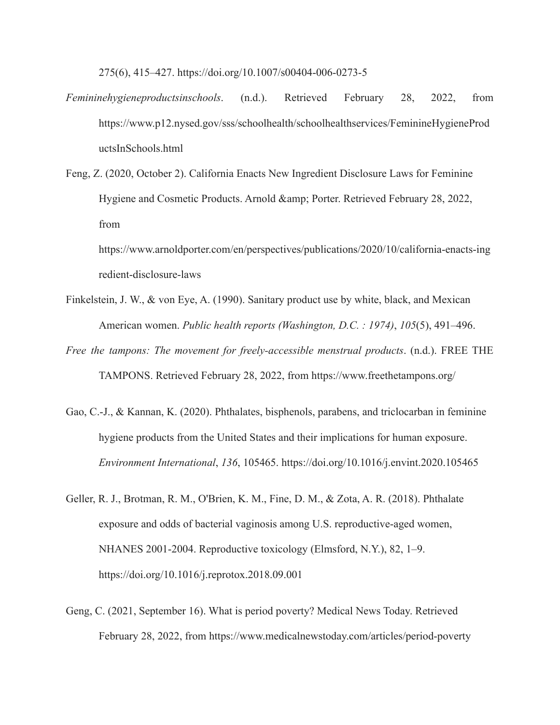275(6), 415–427. https://doi.org/10.1007/s00404-006-0273-5

- *Femininehygieneproductsinschools*. (n.d.). Retrieved February 28, 2022, from [https://www.p12.nysed.gov/sss/schoolhealth/schoolhealthservices/FeminineHygieneProd](https://www.p12.nysed.gov/sss/schoolhealth/schoolhealthservices/FeminineHygieneProductsInSchools.html) [uctsInSchools.html](https://www.p12.nysed.gov/sss/schoolhealth/schoolhealthservices/FeminineHygieneProductsInSchools.html)
- Feng, Z. (2020, October 2). California Enacts New Ingredient Disclosure Laws for Feminine Hygiene and Cosmetic Products. Arnold & amp; Porter. Retrieved February 28, 2022, from

[https://www.arnoldporter.com/en/perspectives/publications/2020/10/california-enacts-ing](https://www.arnoldporter.com/en/perspectives/publications/2020/10/california-enacts-ingredient-disclosure-laws) [redient-disclosure-laws](https://www.arnoldporter.com/en/perspectives/publications/2020/10/california-enacts-ingredient-disclosure-laws)

- Finkelstein, J. W., & von Eye, A. (1990). Sanitary product use by white, black, and Mexican American women. *Public health reports (Washington, D.C. : 1974)*, *105*(5), 491–496.
- *Free the tampons: The movement for freely-accessible menstrual products*. (n.d.). FREE THE TAMPONS. Retrieved February 28, 2022, from <https://www.freethetampons.org/>
- Gao, C.-J., & Kannan, K. (2020). Phthalates, bisphenols, parabens, and triclocarban in feminine hygiene products from the United States and their implications for human exposure. *Environment International*, *136*, 105465. https://doi.org/10.1016/j.envint.2020.105465
- Geller, R. J., Brotman, R. M., O'Brien, K. M., Fine, D. M., & Zota, A. R. (2018). Phthalate exposure and odds of bacterial vaginosis among U.S. reproductive-aged women, NHANES 2001-2004. Reproductive toxicology (Elmsford, N.Y.), 82, 1–9. <https://doi.org/10.1016/j.reprotox.2018.09.001>
- Geng, C. (2021, September 16). What is period poverty? Medical News Today. Retrieved February 28, 2022, from https://www.medicalnewstoday.com/articles/period-poverty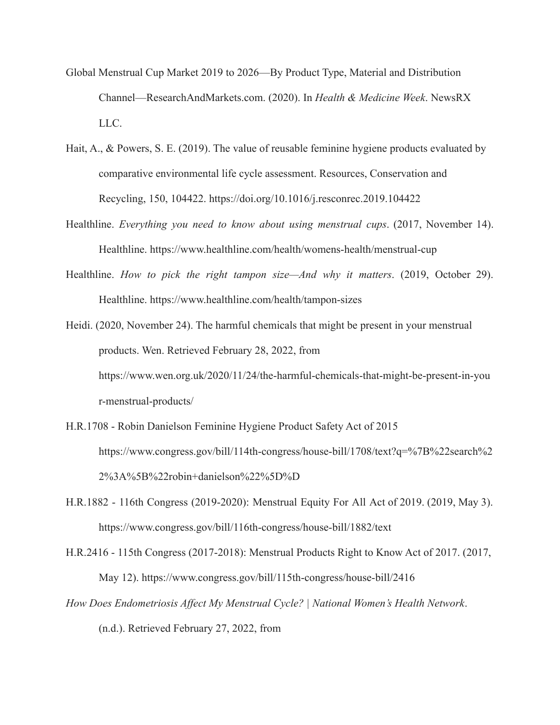- Global Menstrual Cup Market 2019 to 2026—By Product Type, Material and Distribution Channel—ResearchAndMarkets.com. (2020). In *Health & Medicine Week*. NewsRX LLC.
- Hait, A., & Powers, S. E. (2019). The value of reusable feminine hygiene products evaluated by comparative environmental life cycle assessment. Resources, Conservation and Recycling, 150, 104422. https://doi.org/10.1016/j.resconrec.2019.104422
- Healthline. *Everything you need to know about using menstrual cups*. (2017, November 14). Healthline. https://www.healthline.com/health/womens-health/menstrual-cup
- Healthline. *How to pick the right tampon size—And why it matters*. (2019, October 29). Healthline. <https://www.healthline.com/health/tampon-sizes>
- Heidi. (2020, November 24). The harmful chemicals that might be present in your menstrual products. Wen. Retrieved February 28, 2022, from https://www.wen.org.uk/2020/11/24/the-harmful-chemicals-that-might-be-present-in-you r-menstrual-products/
- H.R.1708 Robin Danielson Feminine Hygiene Product Safety Act of 2015 [https://www.congress.gov/bill/114th-congress/house-bill/1708/text?q=%7B%22search%2](https://www.congress.gov/bill/114th-congress/house-bill/1708/text?q=%7B%22search%22%3A%5B%22robin+danielson%22%5D%7D) [2%3A%5B%22robin+danielson%22%5D%D](https://www.congress.gov/bill/114th-congress/house-bill/1708/text?q=%7B%22search%22%3A%5B%22robin+danielson%22%5D%7D)
- H.R.1882 116th Congress (2019-2020): Menstrual Equity For All Act of 2019. (2019, May 3). https://www.congress.gov/bill/116th-congress/house-bill/1882/text
- H.R.2416 115th Congress (2017-2018): Menstrual Products Right to Know Act of 2017. (2017, May 12). <https://www.congress.gov/bill/115th-congress/house-bill/2416>
- *How Does Endometriosis Affect My Menstrual Cycle? | National Women's Health Network*.
	- (n.d.). Retrieved February 27, 2022, fro[m](https://nwhn.org/endometriosis-affect-menstrual-cycle/)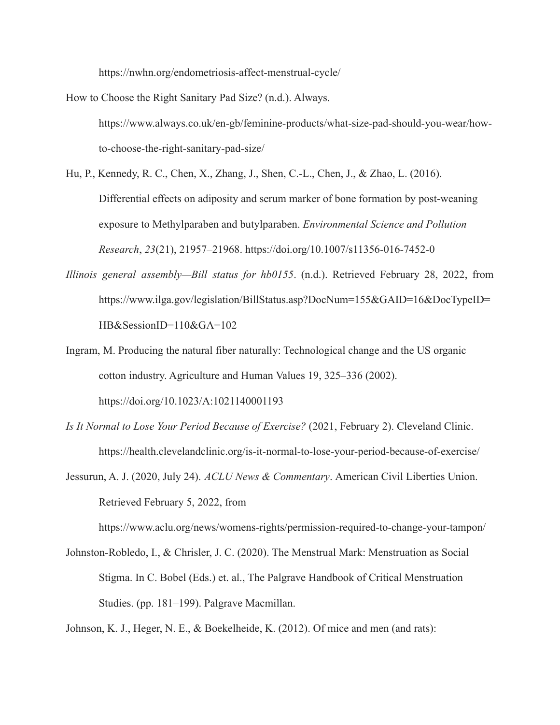<https://nwhn.org/endometriosis-affect-menstrual-cycle/>

How to Choose the Right Sanitary Pad Size? (n.d.). Always. [https://www.always.co.uk/en-gb/feminine-products/what-size-pad-should-you-wear/how](https://www.always.co.uk/en-gb/feminine-products/what-size-pad-should-you-wear/how-to-choose-the-right-sanitary-pad-size/)[to-choose-the-right-sanitary-pad-size/](https://www.always.co.uk/en-gb/feminine-products/what-size-pad-should-you-wear/how-to-choose-the-right-sanitary-pad-size/)

Hu, P., Kennedy, R. C., Chen, X., Zhang, J., Shen, C.-L., Chen, J., & Zhao, L. (2016). Differential effects on adiposity and serum marker of bone formation by post-weaning exposure to Methylparaben and butylparaben. *Environmental Science and Pollution Research*, *23*(21), 21957–21968. https://doi.org/10.1007/s11356-016-7452-0

- *Illinois general assembly—Bill status for hb0155*. (n.d.). Retrieved February 28, 2022, from https://www.ilga.gov/legislation/BillStatus.asp?DocNum=155&GAID=16&DocTypeID= HB&SessionID=110&GA=102
- Ingram, M. Producing the natural fiber naturally: Technological change and the US organic cotton industry. Agriculture and Human Values 19, 325–336 (2002). <https://doi.org/10.1023/A:1021140001193>
- *Is It Normal to Lose Your Period Because of Exercise?* (2021, February 2). Cleveland Clinic. <https://health.clevelandclinic.org/is-it-normal-to-lose-your-period-because-of-exercise/>
- Jessurun, A. J. (2020, July 24). *ACLU News & Commentary*. American Civil Liberties Union. Retrieved February 5, 2022, from

https://www.aclu.org/news/womens-rights/permission-required-to-change-your-tampon/

Johnston-Robledo, I., & Chrisler, J. C. (2020). The Menstrual Mark: Menstruation as Social Stigma. In C. Bobel (Eds.) et. al., The Palgrave Handbook of Critical Menstruation Studies. (pp. 181–199). Palgrave Macmillan.

Johnson, K. J., Heger, N. E., & Boekelheide, K. (2012). Of mice and men (and rats):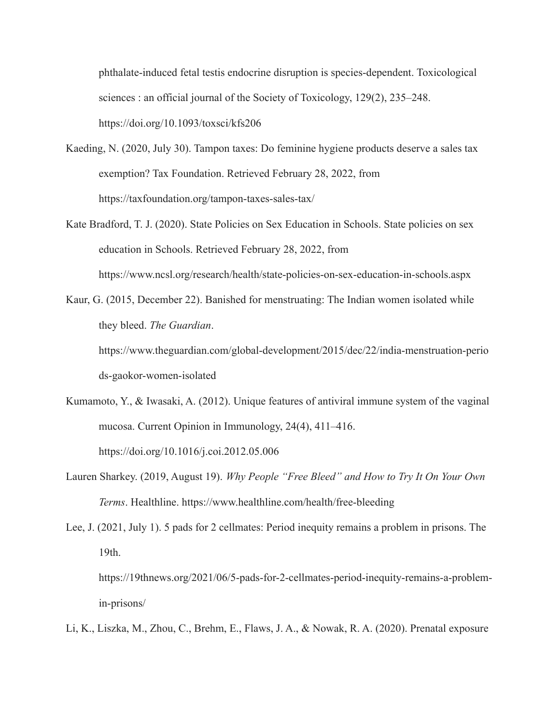phthalate-induced fetal testis endocrine disruption is species-dependent. Toxicological sciences : an official journal of the Society of Toxicology, 129(2), 235–248[.](https://doi.org/10.1093/toxsci/kfs206) <https://doi.org/10.1093/toxsci/kfs206>

- Kaeding, N. (2020, July 30). Tampon taxes: Do feminine hygiene products deserve a sales tax exemption? Tax Foundation. Retrieved February 28, 2022, from https://taxfoundation.org/tampon-taxes-sales-tax/
- Kate Bradford, T. J. (2020). State Policies on Sex Education in Schools. State policies on sex education in Schools. Retrieved February 28, 2022, from https://www.ncsl.org/research/health/state-policies-on-sex-education-in-schools.aspx
- Kaur, G. (2015, December 22). Banished for menstruating: The Indian women isolated while they bleed. *The Guardian*.

https://www.theguardian.com/global-development/2015/dec/22/india-menstruation-perio ds-gaokor-women-isolated

- Kumamoto, Y., & Iwasaki, A. (2012). Unique features of antiviral immune system of the vaginal mucosa. Current Opinion in Immunology, 24(4), 411–416. <https://doi.org/10.1016/j.coi.2012.05.006>
- Lauren Sharkey. (2019, August 19). *Why People "Free Bleed" and How to Try It On Your Own Terms*. Healthline. <https://www.healthline.com/health/free-bleeding>
- Lee, J. (2021, July 1). 5 pads for 2 cellmates: Period inequity remains a problem in prisons. The 19th. https://19thnews.org/2021/06/5-pads-for-2-cellmates-period-inequity-remains-a-problem-

in-prisons/

Li, K., Liszka, M., Zhou, C., Brehm, E., Flaws, J. A., & Nowak, R. A. (2020). Prenatal exposure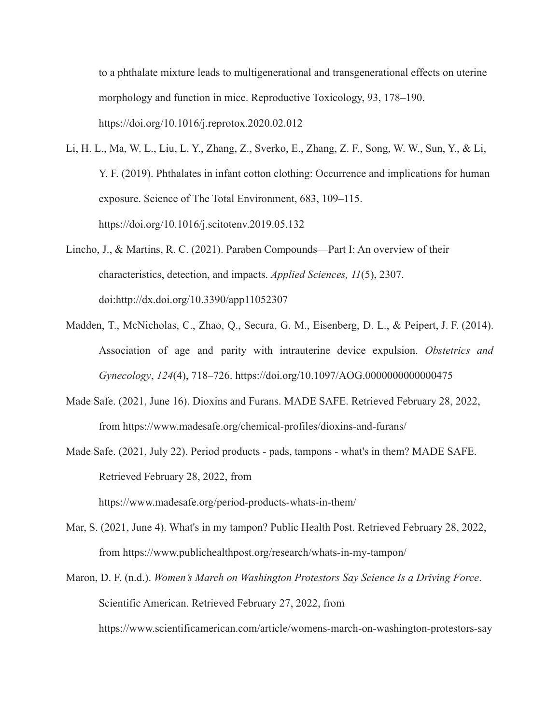to a phthalate mixture leads to multigenerational and transgenerational effects on uterine morphology and function in mice. Reproductive Toxicology, 93, 178–190. <https://doi.org/10.1016/j.reprotox.2020.02.012>

- Li, H. L., Ma, W. L., Liu, L. Y., Zhang, Z., Sverko, E., Zhang, Z. F., Song, W. W., Sun, Y., & Li, Y. F. (2019). Phthalates in infant cotton clothing: Occurrence and implications for human exposure. Science of The Total Environment, 683, 109–115. <https://doi.org/10.1016/j.scitotenv.2019.05.132>
- Lincho, J., & Martins, R. C. (2021). Paraben Compounds—Part I: An overview of their characteristics, detection, and impacts. *Applied Sciences, 11*(5), 2307. doi:<http://dx.doi.org/10.3390/app11052307>
- Madden, T., McNicholas, C., Zhao, Q., Secura, G. M., Eisenberg, D. L., & Peipert, J. F. (2014). Association of age and parity with intrauterine device expulsion. *Obstetrics and Gynecology*, *124*(4), 718–726. <https://doi.org/10.1097/AOG.0000000000000475>
- Made Safe. (2021, June 16). Dioxins and Furans. MADE SAFE. Retrieved February 28, 2022, from https://www.madesafe.org/chemical-profiles/dioxins-and-furans/
- Made Safe. (2021, July 22). Period products pads, tampons what's in them? MADE SAFE. Retrieved February 28, 2022, from https://www.madesafe.org/period-products-whats-in-them/
- Mar, S. (2021, June 4). What's in my tampon? Public Health Post. Retrieved February 28, 2022, from https://www.publichealthpost.org/research/whats-in-my-tampon/
- Maron, D. F. (n.d.). *Women's March on Washington Protestors Say Science Is a Driving Force*. Scientific American. Retrieved February 27, 2022, from https://www.scientificamerican.com/article/womens-march-on-washington-protestors-say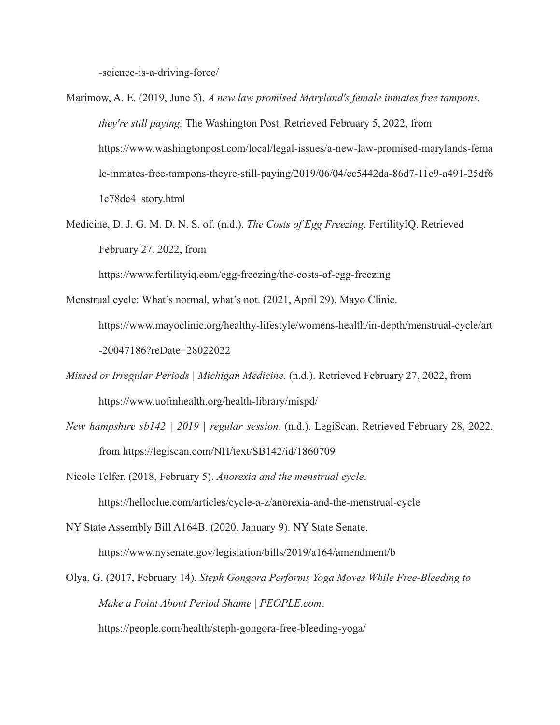-science-is-a-driving-force/

- Marimow, A. E. (2019, June 5). *A new law promised Maryland's female inmates free tampons. they're still paying.* The Washington Post. Retrieved February 5, 2022, from https://www.washingtonpost.com/local/legal-issues/a-new-law-promised-marylands-fema le-inmates-free-tampons-theyre-still-paying/2019/06/04/cc5442da-86d7-11e9-a491-25df6 1c78dc4\_story.html
- Medicine, D. J. G. M. D. N. S. of. (n.d.). *The Costs of Egg Freezing*. FertilityIQ. Retrieved February 27, 2022, from

https://www.fertilityiq.com/egg-freezing/the-costs-of-egg-freezing

- Menstrual cycle: What's normal, what's not. (2021, April 29). Mayo Clinic. [https://www.mayoclinic.org/healthy-lifestyle/womens-health/in-depth/menstrual-cycle/art](https://www.mayoclinic.org/healthy-lifestyle/womens-health/in-depth/menstrual-cycle/art-20047186?reDate=28022022) [-20047186?reDate=28022022](https://www.mayoclinic.org/healthy-lifestyle/womens-health/in-depth/menstrual-cycle/art-20047186?reDate=28022022)
- *Missed or Irregular Periods | Michigan Medicine*. (n.d.). Retrieved February 27, 2022, fro[m](https://www.uofmhealth.org/health-library/mispd/) <https://www.uofmhealth.org/health-library/mispd/>
- *New hampshire sb142 | 2019 | regular session*. (n.d.). LegiScan. Retrieved February 28, 2022, from <https://legiscan.com/NH/text/SB142/id/1860709>
- Nicole Telfer. (2018, February 5). *Anorexia and the menstrual cycle*. <https://helloclue.com/articles/cycle-a-z/anorexia-and-the-menstrual-cycle>

NY State Assembly Bill A164B. (2020, January 9). NY State Senate. <https://www.nysenate.gov/legislation/bills/2019/a164/amendment/b>

Olya, G. (2017, February 14). *Steph Gongora Performs Yoga Moves While Free-Bleeding to Make a Point About Period Shame | PEOPLE.com*. <https://people.com/health/steph-gongora-free-bleeding-yoga/>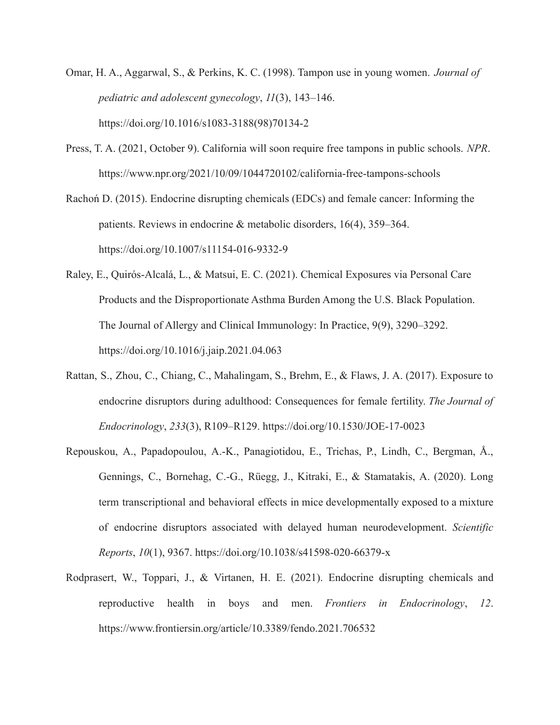- Omar, H. A., Aggarwal, S., & Perkins, K. C. (1998). Tampon use in young women. *Journal of pediatric and adolescent gynecology*, *11*(3), 143–146. [https://doi.org/10.1016/s1083-3188\(98\)70134-2](https://doi.org/10.1016/s1083-3188(98)70134-2)
- Press, T. A. (2021, October 9). California will soon require free tampons in public schools. *NPR*[.](https://www.npr.org/2021/10/09/1044720102/california-free-tampons-schools) <https://www.npr.org/2021/10/09/1044720102/california-free-tampons-schools>
- Rachoń D. (2015). Endocrine disrupting chemicals (EDCs) and female cancer: Informing the patients. Reviews in endocrine & metabolic disorders, 16(4), 359–364. https://doi.org/10.1007/s11154-016-9332-9
- Raley, E., Quirós-Alcalá, L., & Matsui, E. C. (2021). Chemical Exposures via Personal Care Products and the Disproportionate Asthma Burden Among the U.S. Black Population. The Journal of Allergy and Clinical Immunology: In Practice, 9(9), 3290–3292. <https://doi.org/10.1016/j.jaip.2021.04.063>
- Rattan, S., Zhou, C., Chiang, C., Mahalingam, S., Brehm, E., & Flaws, J. A. (2017). Exposure to endocrine disruptors during adulthood: Consequences for female fertility. *The Journal of Endocrinology*, *233*(3), R109–R129. https://doi.org/10.1530/JOE-17-0023
- Repouskou, A., Papadopoulou, A.-K., Panagiotidou, E., Trichas, P., Lindh, C., Bergman, Å., Gennings, C., Bornehag, C.-G., Rüegg, J., Kitraki, E., & Stamatakis, A. (2020). Long term transcriptional and behavioral effects in mice developmentally exposed to a mixture of endocrine disruptors associated with delayed human neurodevelopment. *Scientific Reports*, *10*(1), 9367. https://doi.org/10.1038/s41598-020-66379-x
- Rodprasert, W., Toppari, J., & Virtanen, H. E. (2021). Endocrine disrupting chemicals and reproductive health in boys and men. *Frontiers in Endocrinology*, *12*. <https://www.frontiersin.org/article/10.3389/fendo.2021.706532>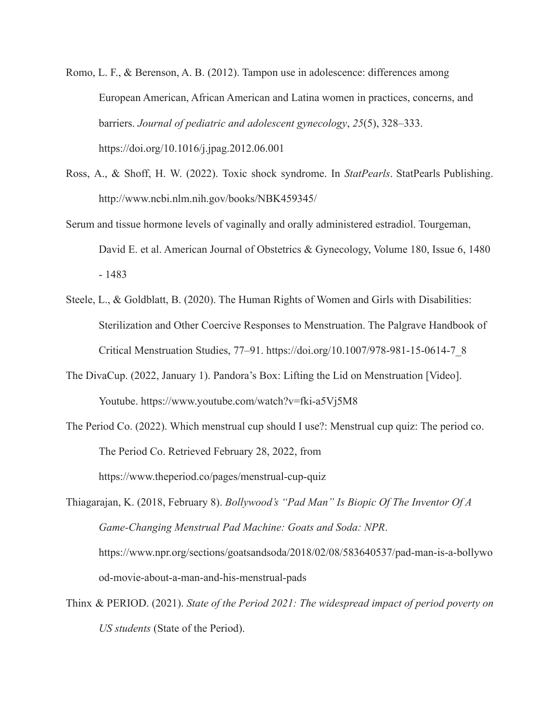- Romo, L. F., & Berenson, A. B. (2012). Tampon use in adolescence: differences among European American, African American and Latina women in practices, concerns, and barriers. *Journal of pediatric and adolescent gynecology*, *25*(5), 328–333. <https://doi.org/10.1016/j.jpag.2012.06.001>
- Ross, A., & Shoff, H. W. (2022). Toxic shock syndrome. In *StatPearls*. StatPearls Publishing. <http://www.ncbi.nlm.nih.gov/books/NBK459345/>
- Serum and tissue hormone levels of vaginally and orally administered estradiol. Tourgeman, David E. et al. American Journal of Obstetrics & Gynecology, Volume 180, Issue 6, 1480 - 1483
- Steele, L., & Goldblatt, B. (2020). The Human Rights of Women and Girls with Disabilities: Sterilization and Other Coercive Responses to Menstruation. The Palgrave Handbook of Critical Menstruation Studies, 77–91. https://doi.org/10.1007/978-981-15-0614-7\_8
- The DivaCup. (2022, January 1). Pandora's Box: Lifting the Lid on Menstruation [Video]. Youtube. <https://www.youtube.com/watch?v=fki-a5Vj5M8>
- The Period Co. (2022). Which menstrual cup should I use?: Menstrual cup quiz: The period co. The Period Co. Retrieved February 28, 2022, from <https://www.theperiod.co/pages/menstrual-cup-quiz>

Thiagarajan, K. (2018, February 8). *Bollywood's "Pad Man" Is Biopic Of The Inventor Of A Game-Changing Menstrual Pad Machine: Goats and Soda: NPR*. [https://www.npr.org/sections/goatsandsoda/2018/02/08/583640537/pad-man-is-a-bollywo](https://www.npr.org/sections/goatsandsoda/2018/02/08/583640537/pad-man-is-a-bollywood-movie-about-a-man-and-his-menstrual-pads) [od-movie-about-a-man-and-his-menstrual-pads](https://www.npr.org/sections/goatsandsoda/2018/02/08/583640537/pad-man-is-a-bollywood-movie-about-a-man-and-his-menstrual-pads)

Thinx & PERIOD. (2021). *State of the Period 2021: The widespread impact of period poverty on US students* (State of the Period).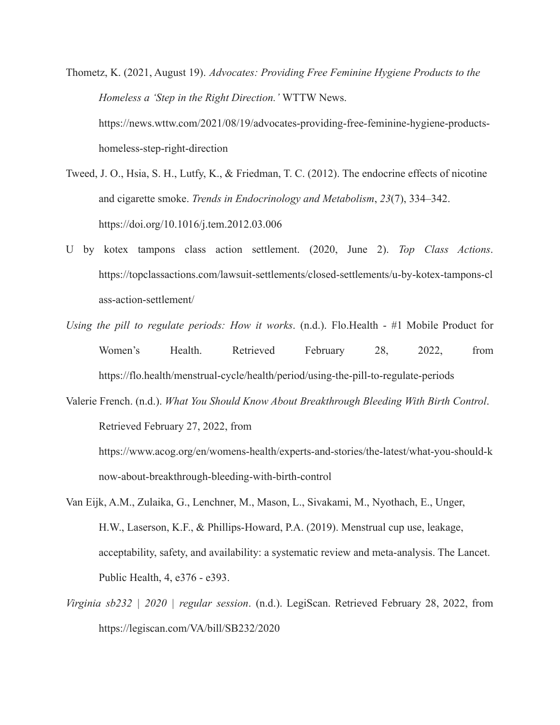Thometz, K. (2021, August 19). *Advocates: Providing Free Feminine Hygiene Products to the Homeless a 'Step in the Right Direction.'* WTTW News[.](https://news.wttw.com/2021/08/19/advocates-providing-free-feminine-hygiene-products-homeless-step-right-direction) [https://news.wttw.com/2021/08/19/advocates-providing-free-feminine-hygiene-products](https://news.wttw.com/2021/08/19/advocates-providing-free-feminine-hygiene-products-homeless-step-right-direction)[homeless-step-right-direction](https://news.wttw.com/2021/08/19/advocates-providing-free-feminine-hygiene-products-homeless-step-right-direction)

- Tweed, J. O., Hsia, S. H., Lutfy, K., & Friedman, T. C. (2012). The endocrine effects of nicotine and cigarette smoke. *Trends in Endocrinology and Metabolism*, *23*(7), 334–342[.](https://doi.org/10.1016/j.tem.2012.03.006) <https://doi.org/10.1016/j.tem.2012.03.006>
- U by kotex tampons class action settlement. (2020, June 2). *Top Class Actions*. https://topclassactions.com/lawsuit-settlements/closed-settlements/u-by-kotex-tampons-cl ass-action-settlement/
- *Using the pill to regulate periods: How it works*. (n.d.). Flo.Health #1 Mobile Product for Women's Health. Retrieved February 28, 2022, from <https://flo.health/menstrual-cycle/health/period/using-the-pill-to-regulate-periods>
- Valerie French. (n.d.). *What You Should Know About Breakthrough Bleeding With Birth Control*. Retrieved February 27, 2022, fro[m](https://www.acog.org/en/womens-health/experts-and-stories/the-latest/what-you-should-know-about-breakthrough-bleeding-with-birth-control)

[https://www.acog.org/en/womens-health/experts-and-stories/the-latest/what-you-should-k](https://www.acog.org/en/womens-health/experts-and-stories/the-latest/what-you-should-know-about-breakthrough-bleeding-with-birth-control) [now-about-breakthrough-bleeding-with-birth-control](https://www.acog.org/en/womens-health/experts-and-stories/the-latest/what-you-should-know-about-breakthrough-bleeding-with-birth-control)

- Van Eijk, A.M., Zulaika, G., Lenchner, M., Mason, L., Sivakami, M., Nyothach, E., Unger, H.W., Laserson, K.F., & Phillips-Howard, P.A. (2019). Menstrual cup use, leakage, acceptability, safety, and availability: a systematic review and meta-analysis. The Lancet. Public Health, 4, e376 - e393.
- *Virginia sb232 | 2020 | regular session*. (n.d.). LegiScan. Retrieved February 28, 2022, from https://legiscan.com/VA/bill/SB232/2020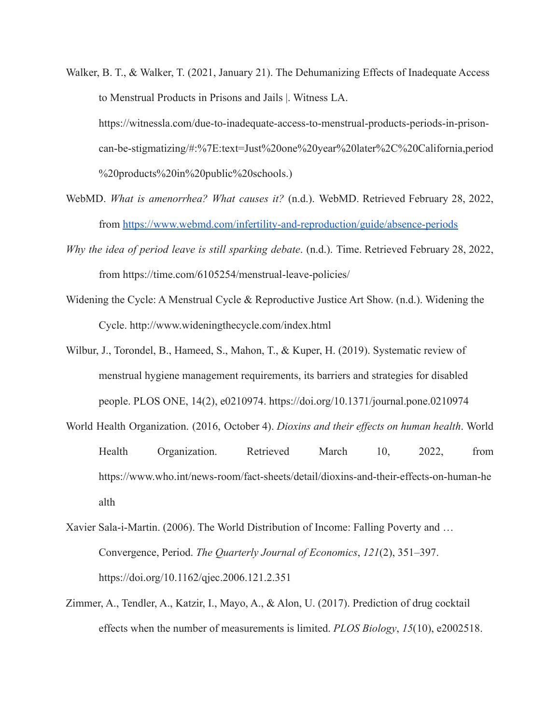- Walker, B. T., & Walker, T. (2021, January 21). The Dehumanizing Effects of Inadequate Access to Menstrual Products in Prisons and Jails |. Witness LA. https://witnessla.com/due-to-inadequate-access-to-menstrual-products-periods-in-prisoncan-be-stigmatizing/#:%7E:text=Just%20one%20year%20later%2C%20California,period %20products%20in%20public%20schools.)
- WebMD. *What is amenorrhea? What causes it?* (n.d.). WebMD. Retrieved February 28, 2022, from <https://www.webmd.com/infertility-and-reproduction/guide/absence-periods>
- *Why the idea of period leave is still sparking debate*. (n.d.). Time. Retrieved February 28, 2022, from <https://time.com/6105254/menstrual-leave-policies/>
- Widening the Cycle: A Menstrual Cycle & Reproductive Justice Art Show. (n.d.). Widening the Cycle. http://www.wideningthecycle.com/index.html
- Wilbur, J., Torondel, B., Hameed, S., Mahon, T., & Kuper, H. (2019). Systematic review of menstrual hygiene management requirements, its barriers and strategies for disabled people. PLOS ONE, 14(2), e0210974. <https://doi.org/10.1371/journal.pone.0210974>
- World Health Organization. (2016, October 4). *Dioxins and their effects on human health*. World Health Organization. Retrieved March 10, 2022, from https://www.who.int/news-room/fact-sheets/detail/dioxins-and-their-effects-on-human-he alth
- Xavier Sala-i-Martin. (2006). The World Distribution of Income: Falling Poverty and … Convergence, Period. *The Quarterly Journal of Economics*, *121*(2), 351–397[.](https://doi.org/10.1162/qjec.2006.121.2.351) <https://doi.org/10.1162/qjec.2006.121.2.351>
- Zimmer, A., Tendler, A., Katzir, I., Mayo, A., & Alon, U. (2017). Prediction of drug cocktail effects when the number of measurements is limited. *PLOS Biology*, *15*(10), e2002518[.](https://doi.org/10.1371/journal.pbio.2002518)